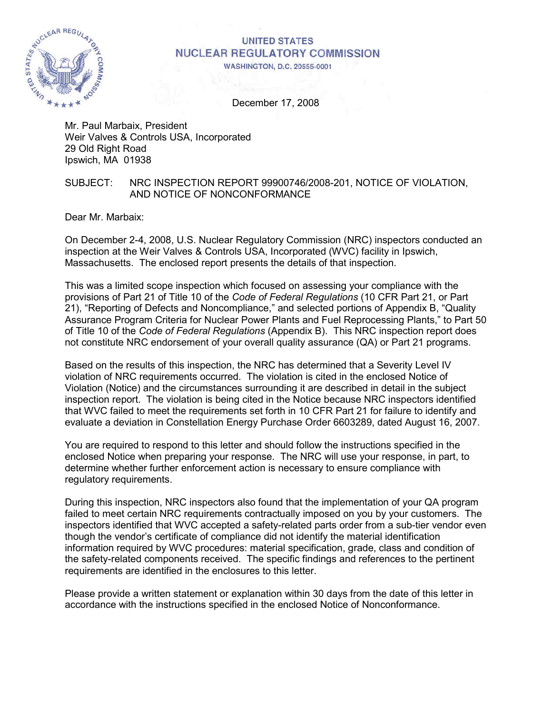

# **UNITED STATES NUCLEAR REGULATORY COMMISSION**

**WASHINGTON, D.C. 20555-0001** 

December 17, 2008

Mr. Paul Marbaix, President Weir Valves & Controls USA, Incorporated 29 Old Right Road Ipswich, MA 01938

#### SUBJECT: NRC INSPECTION REPORT 99900746/2008-201, NOTICE OF VIOLATION, AND NOTICE OF NONCONFORMANCE

Dear Mr. Marbaix:

On December 2-4, 2008, U.S. Nuclear Regulatory Commission (NRC) inspectors conducted an inspection at the Weir Valves & Controls USA, Incorporated (WVC) facility in Ipswich, Massachusetts. The enclosed report presents the details of that inspection.

This was a limited scope inspection which focused on assessing your compliance with the provisions of Part 21 of Title 10 of the *Code of Federal Regulations* (10 CFR Part 21, or Part 21), "Reporting of Defects and Noncompliance," and selected portions of Appendix B, "Quality Assurance Program Criteria for Nuclear Power Plants and Fuel Reprocessing Plants," to Part 50 of Title 10 of the *Code of Federal Regulations* (Appendix B). This NRC inspection report does not constitute NRC endorsement of your overall quality assurance (QA) or Part 21 programs.

Based on the results of this inspection, the NRC has determined that a Severity Level IV violation of NRC requirements occurred. The violation is cited in the enclosed Notice of Violation (Notice) and the circumstances surrounding it are described in detail in the subject inspection report. The violation is being cited in the Notice because NRC inspectors identified that WVC failed to meet the requirements set forth in 10 CFR Part 21 for failure to identify and evaluate a deviation in Constellation Energy Purchase Order 6603289, dated August 16, 2007.

You are required to respond to this letter and should follow the instructions specified in the enclosed Notice when preparing your response. The NRC will use your response, in part, to determine whether further enforcement action is necessary to ensure compliance with regulatory requirements.

During this inspection, NRC inspectors also found that the implementation of your QA program failed to meet certain NRC requirements contractually imposed on you by your customers. The inspectors identified that WVC accepted a safety-related parts order from a sub-tier vendor even though the vendor's certificate of compliance did not identify the material identification information required by WVC procedures: material specification, grade, class and condition of the safety-related components received. The specific findings and references to the pertinent requirements are identified in the enclosures to this letter.

Please provide a written statement or explanation within 30 days from the date of this letter in accordance with the instructions specified in the enclosed Notice of Nonconformance.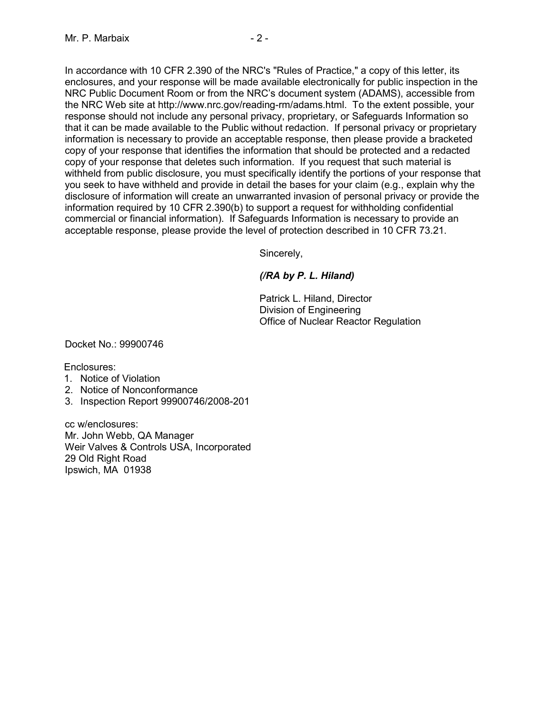In accordance with 10 CFR 2.390 of the NRC's "Rules of Practice," a copy of this letter, its enclosures, and your response will be made available electronically for public inspection in the NRC Public Document Room or from the NRC's document system (ADAMS), accessible from the NRC Web site at http://www.nrc.gov/reading-rm/adams.html. To the extent possible, your response should not include any personal privacy, proprietary, or Safeguards Information so that it can be made available to the Public without redaction. If personal privacy or proprietary information is necessary to provide an acceptable response, then please provide a bracketed copy of your response that identifies the information that should be protected and a redacted copy of your response that deletes such information. If you request that such material is withheld from public disclosure, you must specifically identify the portions of your response that you seek to have withheld and provide in detail the bases for your claim (e.g., explain why the disclosure of information will create an unwarranted invasion of personal privacy or provide the information required by 10 CFR 2.390(b) to support a request for withholding confidential commercial or financial information). If Safeguards Information is necessary to provide an acceptable response, please provide the level of protection described in 10 CFR 73.21.

Sincerely,

# *(/RA by P. L. Hiland)*

Patrick L. Hiland, Director Division of Engineering Office of Nuclear Reactor Regulation

Docket No.: 99900746

Enclosures:

- 1. Notice of Violation
- 2. Notice of Nonconformance
- 3. Inspection Report 99900746/2008-201

cc w/enclosures: Mr. John Webb, QA Manager Weir Valves & Controls USA, Incorporated 29 Old Right Road Ipswich, MA 01938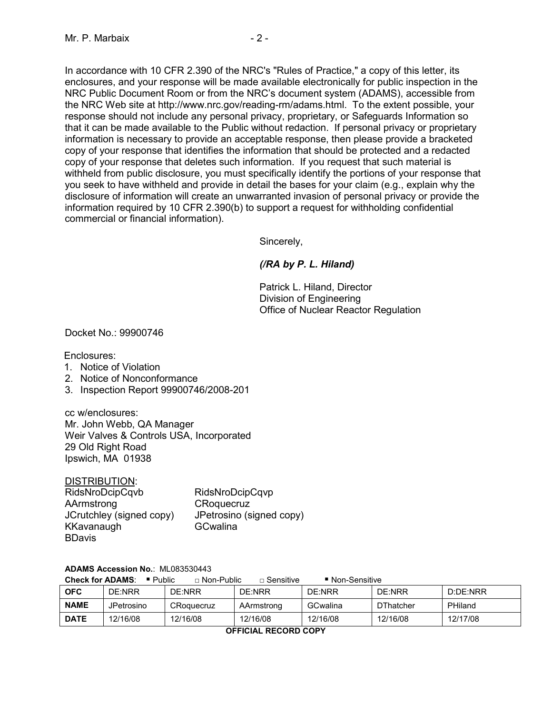In accordance with 10 CFR 2.390 of the NRC's "Rules of Practice," a copy of this letter, its enclosures, and your response will be made available electronically for public inspection in the NRC Public Document Room or from the NRC's document system (ADAMS), accessible from the NRC Web site at http://www.nrc.gov/reading-rm/adams.html. To the extent possible, your response should not include any personal privacy, proprietary, or Safeguards Information so that it can be made available to the Public without redaction. If personal privacy or proprietary information is necessary to provide an acceptable response, then please provide a bracketed copy of your response that identifies the information that should be protected and a redacted copy of your response that deletes such information. If you request that such material is withheld from public disclosure, you must specifically identify the portions of your response that you seek to have withheld and provide in detail the bases for your claim (e.g., explain why the disclosure of information will create an unwarranted invasion of personal privacy or provide the information required by 10 CFR 2.390(b) to support a request for withholding confidential

Sincerely,

## *(/RA by P. L. Hiland)*

Patrick L. Hiland, Director Division of Engineering Office of Nuclear Reactor Regulation

Docket No.: 99900746

Enclosures:

- 1. Notice of Violation
- 2. Notice of Nonconformance
- 3. Inspection Report 99900746/2008-201

commercial or financial information).

cc w/enclosures: Mr. John Webb, QA Manager Weir Valves & Controls USA, Incorporated 29 Old Right Road Ipswich, MA 01938

#### DISTRIBUTION:

| RidsNroDcipCqvb          | RidsNroDcipCqvp          |
|--------------------------|--------------------------|
| AArmstrong               | CRoquecruz               |
| JCrutchley (signed copy) | JPetrosino (signed copy) |
| KKavanaugh               | GCwalina                 |
| <b>BDavis</b>            |                          |

#### **ADAMS Accession No.**: ML083530443

**Check for ADAMS:** ■ Public □ Non-Public □ Sensitive ■ Non-Sensitive

| <b>OFC</b>           | DE:NRR     | DE:NRR     | DE:NRR     | DE:NRR   | DE:NRR           | D:DE:NRR |  |  |
|----------------------|------------|------------|------------|----------|------------------|----------|--|--|
| <b>NAME</b>          | JPetrosino | CRoquecruz | AArmstrong | GCwalina | <b>DThatcher</b> | PHiland  |  |  |
| <b>DATE</b>          | 12/16/08   | 12/16/08   | 12/16/08   | 12/16/08 | 12/16/08         | 12/17/08 |  |  |
| OEEICIAI DECODO CODV |            |            |            |          |                  |          |  |  |

**OFFICIAL RECORD COPY**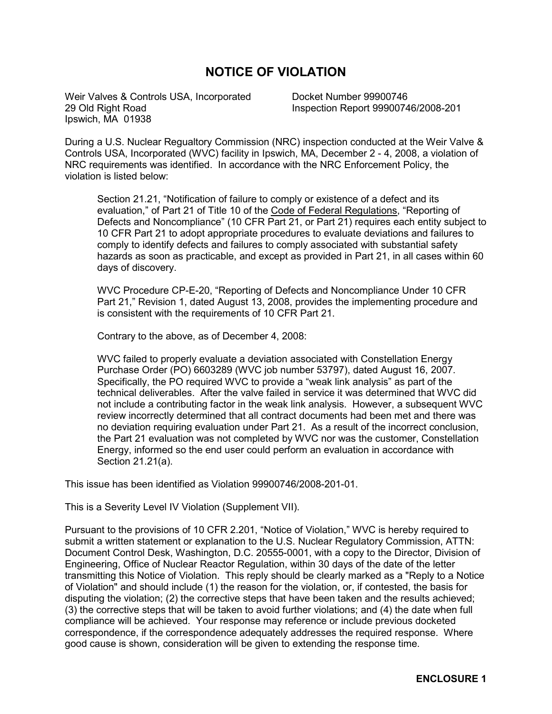# **NOTICE OF VIOLATION**

Weir Valves & Controls USA, Incorporated 29 Old Right Road Ipswich, MA 01938

Docket Number 99900746 Inspection Report 99900746/2008-201

During a U.S. Nuclear Regualtory Commission (NRC) inspection conducted at the Weir Valve & Controls USA, Incorporated (WVC) facility in Ipswich, MA, December 2 - 4, 2008, a violation of NRC requirements was identified. In accordance with the NRC Enforcement Policy, the violation is listed below:

Section 21.21, "Notification of failure to comply or existence of a defect and its evaluation," of Part 21 of Title 10 of the Code of Federal Regulations, "Reporting of Defects and Noncompliance" (10 CFR Part 21, or Part 21) requires each entity subject to 10 CFR Part 21 to adopt appropriate procedures to evaluate deviations and failures to comply to identify defects and failures to comply associated with substantial safety hazards as soon as practicable, and except as provided in Part 21, in all cases within 60 days of discovery.

WVC Procedure CP-E-20, "Reporting of Defects and Noncompliance Under 10 CFR Part 21," Revision 1, dated August 13, 2008, provides the implementing procedure and is consistent with the requirements of 10 CFR Part 21.

Contrary to the above, as of December 4, 2008:

WVC failed to properly evaluate a deviation associated with Constellation Energy Purchase Order (PO) 6603289 (WVC job number 53797), dated August 16, 2007. Specifically, the PO required WVC to provide a "weak link analysis" as part of the technical deliverables. After the valve failed in service it was determined that WVC did not include a contributing factor in the weak link analysis. However, a subsequent WVC review incorrectly determined that all contract documents had been met and there was no deviation requiring evaluation under Part 21. As a result of the incorrect conclusion, the Part 21 evaluation was not completed by WVC nor was the customer, Constellation Energy, informed so the end user could perform an evaluation in accordance with Section 21.21(a).

This issue has been identified as Violation 99900746/2008-201-01.

This is a Severity Level IV Violation (Supplement VII).

Pursuant to the provisions of 10 CFR 2.201, "Notice of Violation," WVC is hereby required to submit a written statement or explanation to the U.S. Nuclear Regulatory Commission, ATTN: Document Control Desk, Washington, D.C. 20555-0001, with a copy to the Director, Division of Engineering, Office of Nuclear Reactor Regulation, within 30 days of the date of the letter transmitting this Notice of Violation. This reply should be clearly marked as a "Reply to a Notice of Violation" and should include (1) the reason for the violation, or, if contested, the basis for disputing the violation; (2) the corrective steps that have been taken and the results achieved; (3) the corrective steps that will be taken to avoid further violations; and (4) the date when full compliance will be achieved. Your response may reference or include previous docketed correspondence, if the correspondence adequately addresses the required response. Where good cause is shown, consideration will be given to extending the response time.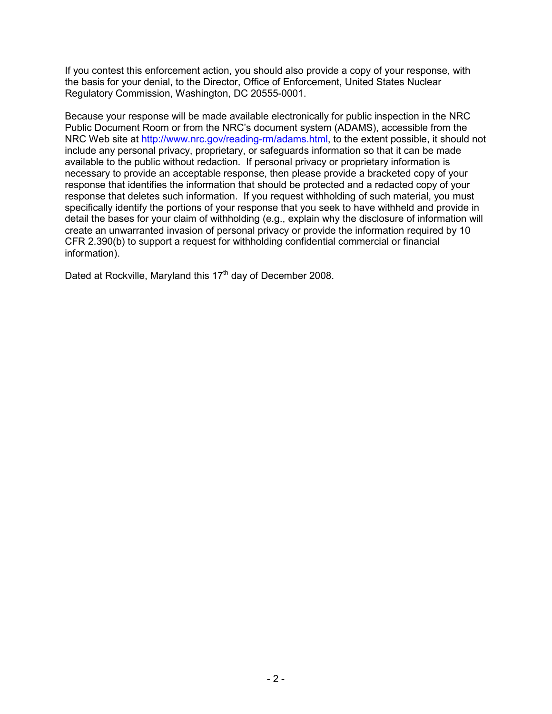If you contest this enforcement action, you should also provide a copy of your response, with the basis for your denial, to the Director, Office of Enforcement, United States Nuclear Regulatory Commission, Washington, DC 20555-0001.

Because your response will be made available electronically for public inspection in the NRC Public Document Room or from the NRC's document system (ADAMS), accessible from the NRC Web site at http://www.nrc.gov/reading-rm/adams.html, to the extent possible, it should not include any personal privacy, proprietary, or safeguards information so that it can be made available to the public without redaction. If personal privacy or proprietary information is necessary to provide an acceptable response, then please provide a bracketed copy of your response that identifies the information that should be protected and a redacted copy of your response that deletes such information. If you request withholding of such material, you must specifically identify the portions of your response that you seek to have withheld and provide in detail the bases for your claim of withholding (e.g., explain why the disclosure of information will create an unwarranted invasion of personal privacy or provide the information required by 10 CFR 2.390(b) to support a request for withholding confidential commercial or financial information).

Dated at Rockville, Maryland this 17<sup>th</sup> day of December 2008.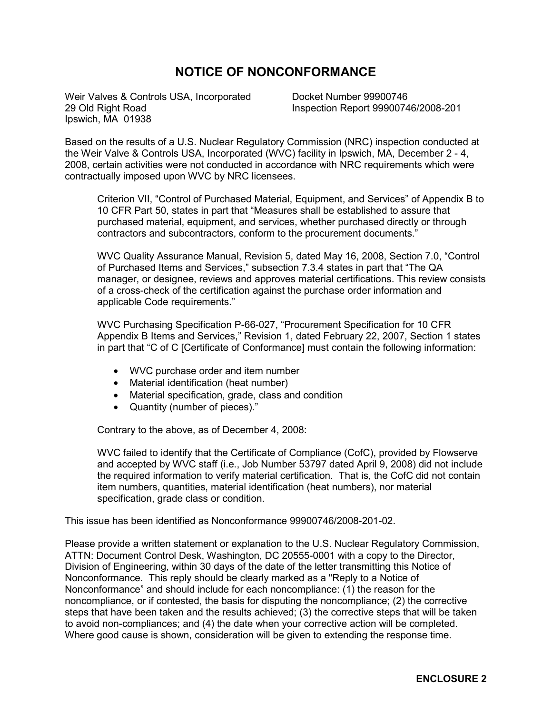# **NOTICE OF NONCONFORMANCE**

Weir Valves & Controls USA, Incorporated 29 Old Right Road Ipswich, MA 01938

Docket Number 99900746 Inspection Report 99900746/2008-201

Based on the results of a U.S. Nuclear Regulatory Commission (NRC) inspection conducted at the Weir Valve & Controls USA, Incorporated (WVC) facility in Ipswich, MA, December 2 - 4, 2008, certain activities were not conducted in accordance with NRC requirements which were contractually imposed upon WVC by NRC licensees.

Criterion VII, "Control of Purchased Material, Equipment, and Services" of Appendix B to 10 CFR Part 50, states in part that "Measures shall be established to assure that purchased material, equipment, and services, whether purchased directly or through contractors and subcontractors, conform to the procurement documents."

WVC Quality Assurance Manual, Revision 5, dated May 16, 2008, Section 7.0, "Control of Purchased Items and Services," subsection 7.3.4 states in part that "The QA manager, or designee, reviews and approves material certifications. This review consists of a cross-check of the certification against the purchase order information and applicable Code requirements."

WVC Purchasing Specification P-66-027, "Procurement Specification for 10 CFR Appendix B Items and Services," Revision 1, dated February 22, 2007, Section 1 states in part that "C of C [Certificate of Conformance] must contain the following information:

- WVC purchase order and item number
- Material identification (heat number)
- Material specification, grade, class and condition
- Quantity (number of pieces)."

Contrary to the above, as of December 4, 2008:

WVC failed to identify that the Certificate of Compliance (CofC), provided by Flowserve and accepted by WVC staff (i.e., Job Number 53797 dated April 9, 2008) did not include the required information to verify material certification. That is, the CofC did not contain item numbers, quantities, material identification (heat numbers), nor material specification, grade class or condition.

This issue has been identified as Nonconformance 99900746/2008-201-02.

Please provide a written statement or explanation to the U.S. Nuclear Regulatory Commission, ATTN: Document Control Desk, Washington, DC 20555-0001 with a copy to the Director, Division of Engineering, within 30 days of the date of the letter transmitting this Notice of Nonconformance. This reply should be clearly marked as a "Reply to a Notice of Nonconformance" and should include for each noncompliance: (1) the reason for the noncompliance, or if contested, the basis for disputing the noncompliance; (2) the corrective steps that have been taken and the results achieved; (3) the corrective steps that will be taken to avoid non-compliances; and (4) the date when your corrective action will be completed. Where good cause is shown, consideration will be given to extending the response time.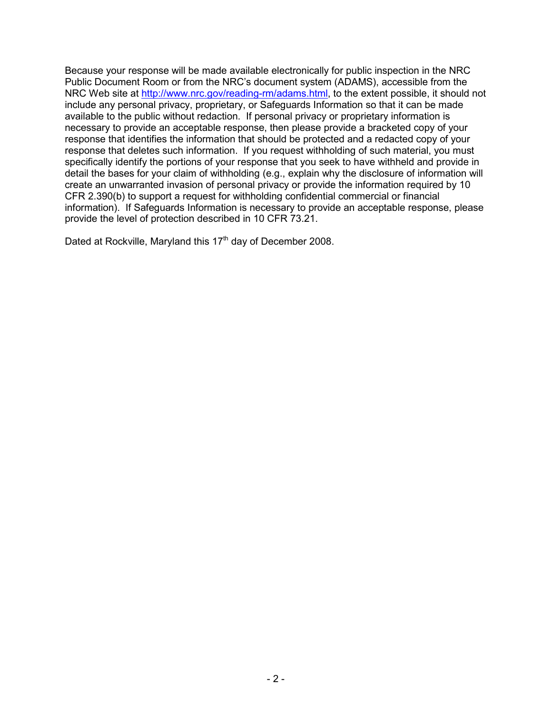Because your response will be made available electronically for public inspection in the NRC Public Document Room or from the NRC's document system (ADAMS), accessible from the NRC Web site at http://www.nrc.gov/reading-rm/adams.html, to the extent possible, it should not include any personal privacy, proprietary, or Safeguards Information so that it can be made available to the public without redaction. If personal privacy or proprietary information is necessary to provide an acceptable response, then please provide a bracketed copy of your response that identifies the information that should be protected and a redacted copy of your response that deletes such information. If you request withholding of such material, you must specifically identify the portions of your response that you seek to have withheld and provide in detail the bases for your claim of withholding (e.g., explain why the disclosure of information will create an unwarranted invasion of personal privacy or provide the information required by 10 CFR 2.390(b) to support a request for withholding confidential commercial or financial information). If Safeguards Information is necessary to provide an acceptable response, please provide the level of protection described in 10 CFR 73.21.

Dated at Rockville, Maryland this 17<sup>th</sup> day of December 2008.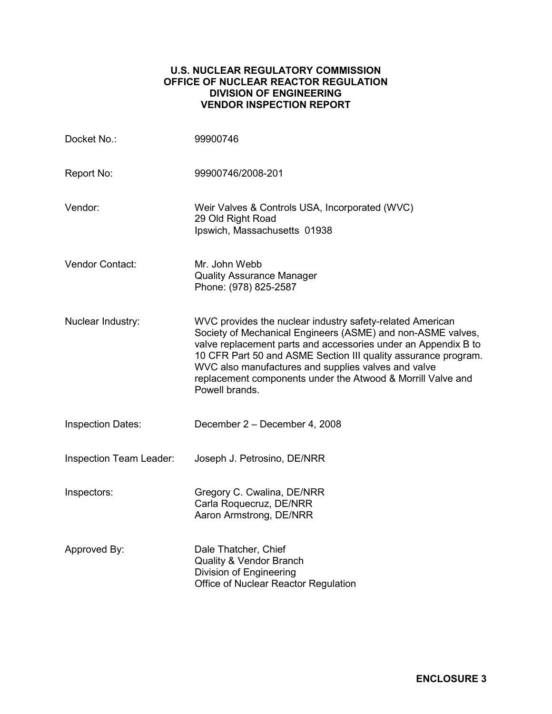## **U.S. NUCLEAR REGULATORY COMMISSION OFFICE OF NUCLEAR REACTOR REGULATION DIVISION OF ENGINEERING VENDOR INSPECTION REPORT**

| Docket No.:              | 99900746                                                                                                                                                                                                                                                                                                                                                                                             |
|--------------------------|------------------------------------------------------------------------------------------------------------------------------------------------------------------------------------------------------------------------------------------------------------------------------------------------------------------------------------------------------------------------------------------------------|
| Report No:               | 99900746/2008-201                                                                                                                                                                                                                                                                                                                                                                                    |
| Vendor:                  | Weir Valves & Controls USA, Incorporated (WVC)<br>29 Old Right Road<br>Ipswich, Massachusetts 01938                                                                                                                                                                                                                                                                                                  |
| Vendor Contact:          | Mr. John Webb<br><b>Quality Assurance Manager</b><br>Phone: (978) 825-2587                                                                                                                                                                                                                                                                                                                           |
| Nuclear Industry:        | WVC provides the nuclear industry safety-related American<br>Society of Mechanical Engineers (ASME) and non-ASME valves,<br>valve replacement parts and accessories under an Appendix B to<br>10 CFR Part 50 and ASME Section III quality assurance program.<br>WVC also manufactures and supplies valves and valve<br>replacement components under the Atwood & Morrill Valve and<br>Powell brands. |
| <b>Inspection Dates:</b> | December 2 - December 4, 2008                                                                                                                                                                                                                                                                                                                                                                        |
| Inspection Team Leader:  | Joseph J. Petrosino, DE/NRR                                                                                                                                                                                                                                                                                                                                                                          |
| Inspectors:              | Gregory C. Cwalina, DE/NRR<br>Carla Roquecruz, DE/NRR<br>Aaron Armstrong, DE/NRR                                                                                                                                                                                                                                                                                                                     |
| Approved By:             | Dale Thatcher, Chief<br>Quality & Vendor Branch<br>Division of Engineering<br>Office of Nuclear Reactor Regulation                                                                                                                                                                                                                                                                                   |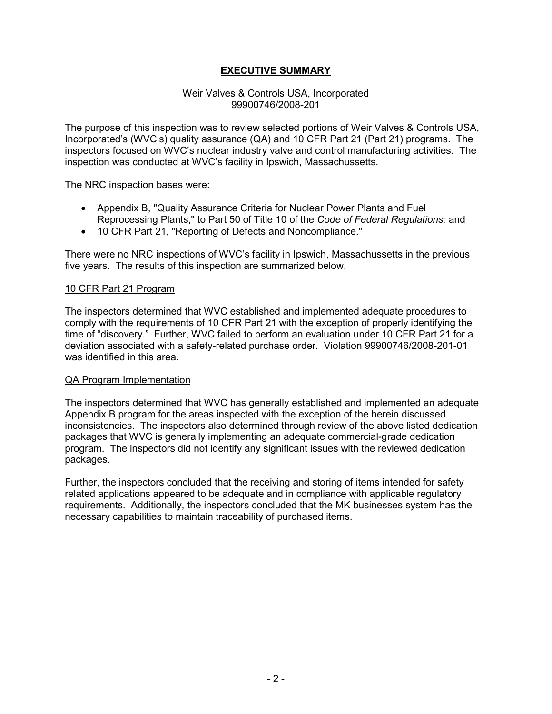# **EXECUTIVE SUMMARY**

#### Weir Valves & Controls USA, Incorporated 99900746/2008-201

The purpose of this inspection was to review selected portions of Weir Valves & Controls USA, Incorporated's (WVC's) quality assurance (QA) and 10 CFR Part 21 (Part 21) programs. The inspectors focused on WVC's nuclear industry valve and control manufacturing activities. The inspection was conducted at WVC's facility in Ipswich, Massachussetts.

The NRC inspection bases were:

- Appendix B, "Quality Assurance Criteria for Nuclear Power Plants and Fuel Reprocessing Plants," to Part 50 of Title 10 of the *Code of Federal Regulations;* and
- 10 CFR Part 21, "Reporting of Defects and Noncompliance."

There were no NRC inspections of WVC's facility in Ipswich, Massachussetts in the previous five years. The results of this inspection are summarized below.

#### 10 CFR Part 21 Program

The inspectors determined that WVC established and implemented adequate procedures to comply with the requirements of 10 CFR Part 21 with the exception of properly identifying the time of "discovery." Further, WVC failed to perform an evaluation under 10 CFR Part 21 for a deviation associated with a safety-related purchase order. Violation 99900746/2008-201-01 was identified in this area.

#### QA Program Implementation

The inspectors determined that WVC has generally established and implemented an adequate Appendix B program for the areas inspected with the exception of the herein discussed inconsistencies. The inspectors also determined through review of the above listed dedication packages that WVC is generally implementing an adequate commercial-grade dedication program. The inspectors did not identify any significant issues with the reviewed dedication packages.

Further, the inspectors concluded that the receiving and storing of items intended for safety related applications appeared to be adequate and in compliance with applicable regulatory requirements. Additionally, the inspectors concluded that the MK businesses system has the necessary capabilities to maintain traceability of purchased items.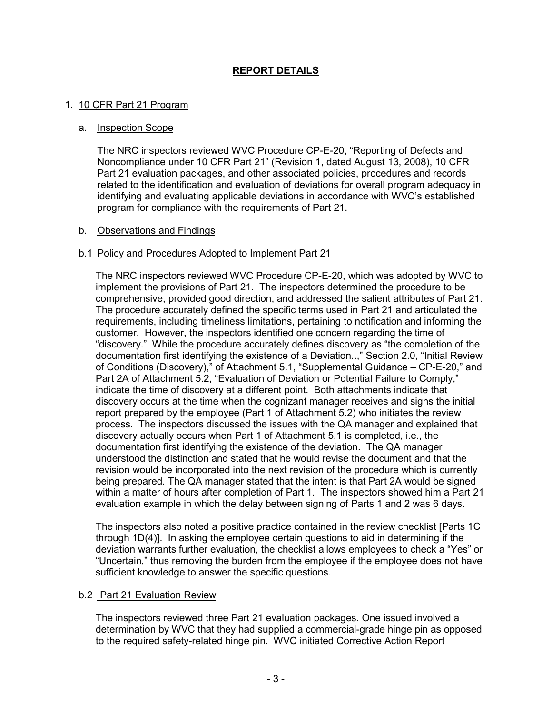# **REPORT DETAILS**

### 1. 10 CFR Part 21 Program

#### a. Inspection Scope

The NRC inspectors reviewed WVC Procedure CP-E-20, "Reporting of Defects and Noncompliance under 10 CFR Part 21" (Revision 1, dated August 13, 2008), 10 CFR Part 21 evaluation packages, and other associated policies, procedures and records related to the identification and evaluation of deviations for overall program adequacy in identifying and evaluating applicable deviations in accordance with WVC's established program for compliance with the requirements of Part 21.

#### b. Observations and Findings

#### b.1 Policy and Procedures Adopted to Implement Part 21

The NRC inspectors reviewed WVC Procedure CP-E-20, which was adopted by WVC to implement the provisions of Part 21. The inspectors determined the procedure to be comprehensive, provided good direction, and addressed the salient attributes of Part 21. The procedure accurately defined the specific terms used in Part 21 and articulated the requirements, including timeliness limitations, pertaining to notification and informing the customer. However, the inspectors identified one concern regarding the time of "discovery." While the procedure accurately defines discovery as "the completion of the documentation first identifying the existence of a Deviation..," Section 2.0, "Initial Review of Conditions (Discovery)," of Attachment 5.1, "Supplemental Guidance – CP-E-20," and Part 2A of Attachment 5.2, "Evaluation of Deviation or Potential Failure to Comply," indicate the time of discovery at a different point. Both attachments indicate that discovery occurs at the time when the cognizant manager receives and signs the initial report prepared by the employee (Part 1 of Attachment 5.2) who initiates the review process. The inspectors discussed the issues with the QA manager and explained that discovery actually occurs when Part 1 of Attachment 5.1 is completed, i.e., the documentation first identifying the existence of the deviation. The QA manager understood the distinction and stated that he would revise the document and that the revision would be incorporated into the next revision of the procedure which is currently being prepared. The QA manager stated that the intent is that Part 2A would be signed within a matter of hours after completion of Part 1. The inspectors showed him a Part 21 evaluation example in which the delay between signing of Parts 1 and 2 was 6 days.

The inspectors also noted a positive practice contained in the review checklist [Parts 1C through 1D(4)]. In asking the employee certain questions to aid in determining if the deviation warrants further evaluation, the checklist allows employees to check a "Yes" or "Uncertain," thus removing the burden from the employee if the employee does not have sufficient knowledge to answer the specific questions.

## b.2 Part 21 Evaluation Review

The inspectors reviewed three Part 21 evaluation packages. One issued involved a determination by WVC that they had supplied a commercial-grade hinge pin as opposed to the required safety-related hinge pin. WVC initiated Corrective Action Report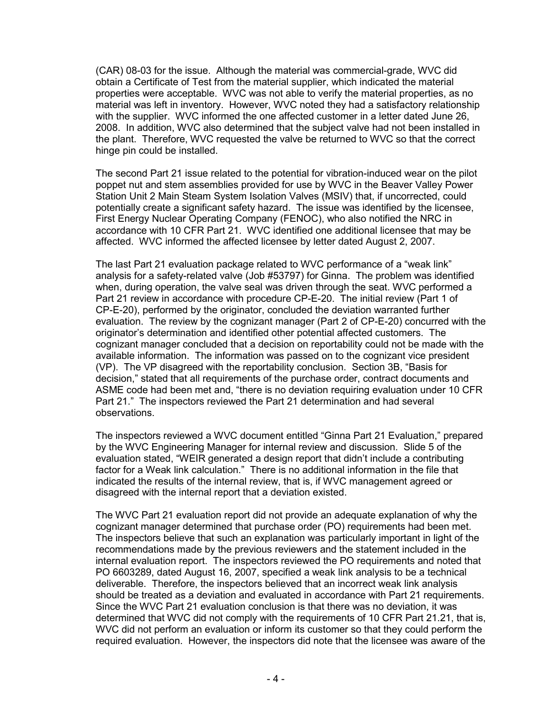(CAR) 08-03 for the issue. Although the material was commercial-grade, WVC did obtain a Certificate of Test from the material supplier, which indicated the material properties were acceptable. WVC was not able to verify the material properties, as no material was left in inventory. However, WVC noted they had a satisfactory relationship with the supplier. WVC informed the one affected customer in a letter dated June 26, 2008. In addition, WVC also determined that the subject valve had not been installed in the plant. Therefore, WVC requested the valve be returned to WVC so that the correct hinge pin could be installed.

The second Part 21 issue related to the potential for vibration-induced wear on the pilot poppet nut and stem assemblies provided for use by WVC in the Beaver Valley Power Station Unit 2 Main Steam System Isolation Valves (MSIV) that, if uncorrected, could potentially create a significant safety hazard. The issue was identified by the licensee, First Energy Nuclear Operating Company (FENOC), who also notified the NRC in accordance with 10 CFR Part 21. WVC identified one additional licensee that may be affected. WVC informed the affected licensee by letter dated August 2, 2007.

The last Part 21 evaluation package related to WVC performance of a "weak link" analysis for a safety-related valve (Job #53797) for Ginna. The problem was identified when, during operation, the valve seal was driven through the seat. WVC performed a Part 21 review in accordance with procedure CP-E-20. The initial review (Part 1 of CP-E-20), performed by the originator, concluded the deviation warranted further evaluation. The review by the cognizant manager (Part 2 of CP-E-20) concurred with the originator's determination and identified other potential affected customers. The cognizant manager concluded that a decision on reportability could not be made with the available information. The information was passed on to the cognizant vice president (VP). The VP disagreed with the reportability conclusion. Section 3B, "Basis for decision," stated that all requirements of the purchase order, contract documents and ASME code had been met and, "there is no deviation requiring evaluation under 10 CFR Part 21." The inspectors reviewed the Part 21 determination and had several observations.

The inspectors reviewed a WVC document entitled "Ginna Part 21 Evaluation," prepared by the WVC Engineering Manager for internal review and discussion. Slide 5 of the evaluation stated, "WEIR generated a design report that didn't include a contributing factor for a Weak link calculation." There is no additional information in the file that indicated the results of the internal review, that is, if WVC management agreed or disagreed with the internal report that a deviation existed.

The WVC Part 21 evaluation report did not provide an adequate explanation of why the cognizant manager determined that purchase order (PO) requirements had been met. The inspectors believe that such an explanation was particularly important in light of the recommendations made by the previous reviewers and the statement included in the internal evaluation report. The inspectors reviewed the PO requirements and noted that PO 6603289, dated August 16, 2007, specified a weak link analysis to be a technical deliverable. Therefore, the inspectors believed that an incorrect weak link analysis should be treated as a deviation and evaluated in accordance with Part 21 requirements. Since the WVC Part 21 evaluation conclusion is that there was no deviation, it was determined that WVC did not comply with the requirements of 10 CFR Part 21.21, that is, WVC did not perform an evaluation or inform its customer so that they could perform the required evaluation. However, the inspectors did note that the licensee was aware of the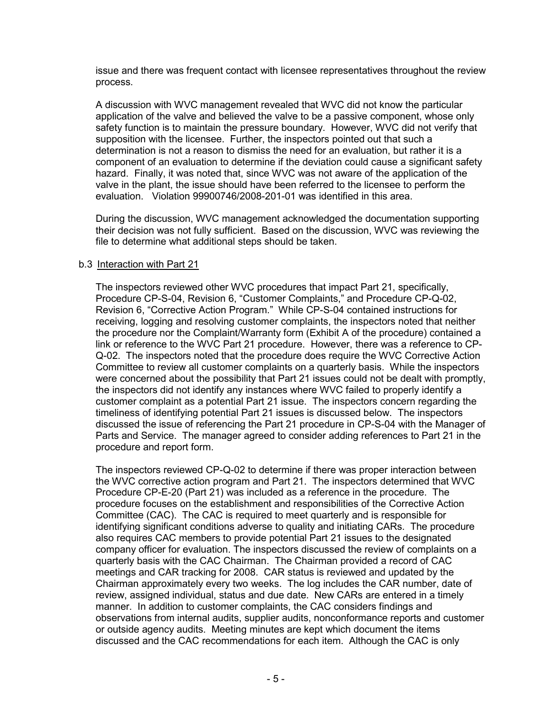issue and there was frequent contact with licensee representatives throughout the review process.

A discussion with WVC management revealed that WVC did not know the particular application of the valve and believed the valve to be a passive component, whose only safety function is to maintain the pressure boundary. However, WVC did not verify that supposition with the licensee. Further, the inspectors pointed out that such a determination is not a reason to dismiss the need for an evaluation, but rather it is a component of an evaluation to determine if the deviation could cause a significant safety hazard. Finally, it was noted that, since WVC was not aware of the application of the valve in the plant, the issue should have been referred to the licensee to perform the evaluation. Violation 99900746/2008-201-01 was identified in this area.

During the discussion, WVC management acknowledged the documentation supporting their decision was not fully sufficient. Based on the discussion, WVC was reviewing the file to determine what additional steps should be taken.

### b.3 Interaction with Part 21

The inspectors reviewed other WVC procedures that impact Part 21, specifically, Procedure CP-S-04, Revision 6, "Customer Complaints," and Procedure CP-Q-02, Revision 6, "Corrective Action Program." While CP-S-04 contained instructions for receiving, logging and resolving customer complaints, the inspectors noted that neither the procedure nor the Complaint/Warranty form (Exhibit A of the procedure) contained a link or reference to the WVC Part 21 procedure. However, there was a reference to CP-Q-02. The inspectors noted that the procedure does require the WVC Corrective Action Committee to review all customer complaints on a quarterly basis. While the inspectors were concerned about the possibility that Part 21 issues could not be dealt with promptly, the inspectors did not identify any instances where WVC failed to properly identify a customer complaint as a potential Part 21 issue. The inspectors concern regarding the timeliness of identifying potential Part 21 issues is discussed below. The inspectors discussed the issue of referencing the Part 21 procedure in CP-S-04 with the Manager of Parts and Service. The manager agreed to consider adding references to Part 21 in the procedure and report form.

The inspectors reviewed CP-Q-02 to determine if there was proper interaction between the WVC corrective action program and Part 21. The inspectors determined that WVC Procedure CP-E-20 (Part 21) was included as a reference in the procedure. The procedure focuses on the establishment and responsibilities of the Corrective Action Committee (CAC). The CAC is required to meet quarterly and is responsible for identifying significant conditions adverse to quality and initiating CARs. The procedure also requires CAC members to provide potential Part 21 issues to the designated company officer for evaluation. The inspectors discussed the review of complaints on a quarterly basis with the CAC Chairman. The Chairman provided a record of CAC meetings and CAR tracking for 2008. CAR status is reviewed and updated by the Chairman approximately every two weeks. The log includes the CAR number, date of review, assigned individual, status and due date. New CARs are entered in a timely manner. In addition to customer complaints, the CAC considers findings and observations from internal audits, supplier audits, nonconformance reports and customer or outside agency audits. Meeting minutes are kept which document the items discussed and the CAC recommendations for each item. Although the CAC is only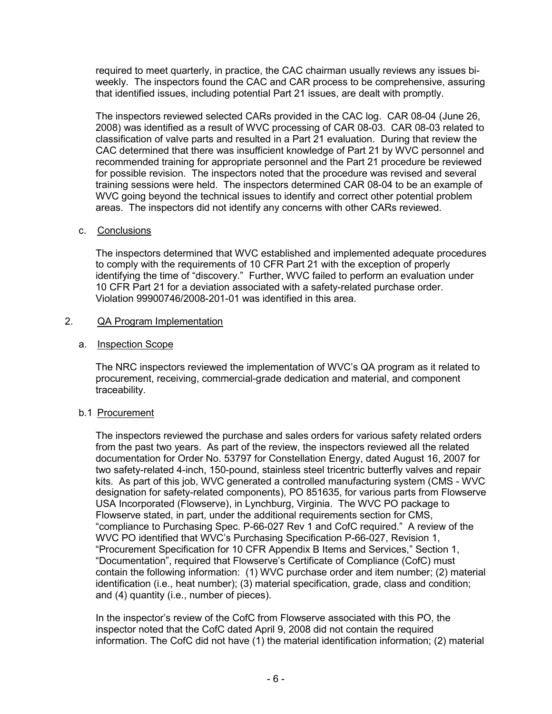required to meet quarterly, in practice, the CAC chairman usually reviews any issues biweekly. The inspectors found the CAC and CAR process to be comprehensive, assuring that identified issues, including potential Part 21 issues, are dealt with promptly.

The inspectors reviewed selected CARs provided in the CAC log. CAR 08-04 (June 26, 2008) was identified as a result of WVC processing of CAR 08-03. CAR 08-03 related to classification of valve parts and resulted in a Part 21 evaluation. During that review the CAC determined that there was insufficient knowledge of Part 21 by WVC personnel and recommended training for appropriate personnel and the Part 21 procedure be reviewed for possible revision. The inspectors noted that the procedure was revised and several training sessions were held. The inspectors determined CAR 08-04 to be an example of WVC going beyond the technical issues to identify and correct other potential problem areas. The inspectors did not identify any concerns with other CARs reviewed.

## c. Conclusions

The inspectors determined that WVC established and implemented adequate procedures to comply with the requirements of 10 CFR Part 21 with the exception of properly identifying the time of "discovery." Further, WVC failed to perform an evaluation under 10 CFR Part 21 for a deviation associated with a safety-related purchase order. Violation 99900746/2008-201-01 was identified in this area.

## 2. QA Program Implementation

## a. Inspection Scope

The NRC inspectors reviewed the implementation of WVC's QA program as it related to procurement, receiving, commercial-grade dedication and material, and component traceability.

# b.1 Procurement

The inspectors reviewed the purchase and sales orders for various safety related orders from the past two years. As part of the review, the inspectors reviewed all the related documentation for Order No. 53797 for Constellation Energy, dated August 16, 2007 for two safety-related 4-inch, 150-pound, stainless steel tricentric butterfly valves and repair kits. As part of this job, WVC generated a controlled manufacturing system (CMS - WVC designation for safety-related components), PO 851635, for various parts from Flowserve USA Incorporated (Flowserve), in Lynchburg, Virginia. The WVC PO package to Flowserve stated, in part, under the additional requirements section for CMS, "compliance to Purchasing Spec. P-66-027 Rev 1 and CofC required." A review of the WVC PO identified that WVC's Purchasing Specification P-66-027, Revision 1, "Procurement Specification for 10 CFR Appendix B Items and Services," Section 1, "Documentation", required that Flowserve's Certificate of Compliance (CofC) must contain the following information: (1) WVC purchase order and item number; (2) material identification (i.e., heat number); (3) material specification, grade, class and condition; and (4) quantity (i.e., number of pieces).

In the inspector's review of the CofC from Flowserve associated with this PO, the inspector noted that the CofC dated April 9, 2008 did not contain the required information. The CofC did not have (1) the material identification information; (2) material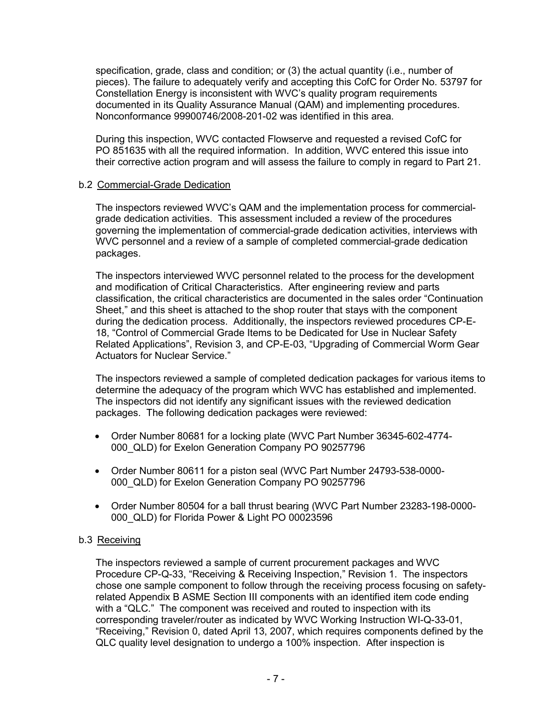specification, grade, class and condition; or (3) the actual quantity (i.e., number of pieces). The failure to adequately verify and accepting this CofC for Order No. 53797 for Constellation Energy is inconsistent with WVC's quality program requirements documented in its Quality Assurance Manual (QAM) and implementing procedures. Nonconformance 99900746/2008-201-02 was identified in this area.

During this inspection, WVC contacted Flowserve and requested a revised CofC for PO 851635 with all the required information. In addition, WVC entered this issue into their corrective action program and will assess the failure to comply in regard to Part 21.

## b.2 Commercial-Grade Dedication

The inspectors reviewed WVC's QAM and the implementation process for commercialgrade dedication activities. This assessment included a review of the procedures governing the implementation of commercial-grade dedication activities, interviews with WVC personnel and a review of a sample of completed commercial-grade dedication packages.

The inspectors interviewed WVC personnel related to the process for the development and modification of Critical Characteristics. After engineering review and parts classification, the critical characteristics are documented in the sales order "Continuation Sheet," and this sheet is attached to the shop router that stays with the component during the dedication process. Additionally, the inspectors reviewed procedures CP-E-18, "Control of Commercial Grade Items to be Dedicated for Use in Nuclear Safety Related Applications", Revision 3, and CP-E-03, "Upgrading of Commercial Worm Gear Actuators for Nuclear Service."

The inspectors reviewed a sample of completed dedication packages for various items to determine the adequacy of the program which WVC has established and implemented. The inspectors did not identify any significant issues with the reviewed dedication packages. The following dedication packages were reviewed:

- Order Number 80681 for a locking plate (WVC Part Number 36345-602-4774- 000\_QLD) for Exelon Generation Company PO 90257796
- Order Number 80611 for a piston seal (WVC Part Number 24793-538-0000- 000\_QLD) for Exelon Generation Company PO 90257796
- Order Number 80504 for a ball thrust bearing (WVC Part Number 23283-198-0000- 000\_QLD) for Florida Power & Light PO 00023596

## b.3 Receiving

The inspectors reviewed a sample of current procurement packages and WVC Procedure CP-Q-33, "Receiving & Receiving Inspection," Revision 1. The inspectors chose one sample component to follow through the receiving process focusing on safetyrelated Appendix B ASME Section III components with an identified item code ending with a "QLC." The component was received and routed to inspection with its corresponding traveler/router as indicated by WVC Working Instruction WI-Q-33-01, "Receiving," Revision 0, dated April 13, 2007, which requires components defined by the QLC quality level designation to undergo a 100% inspection. After inspection is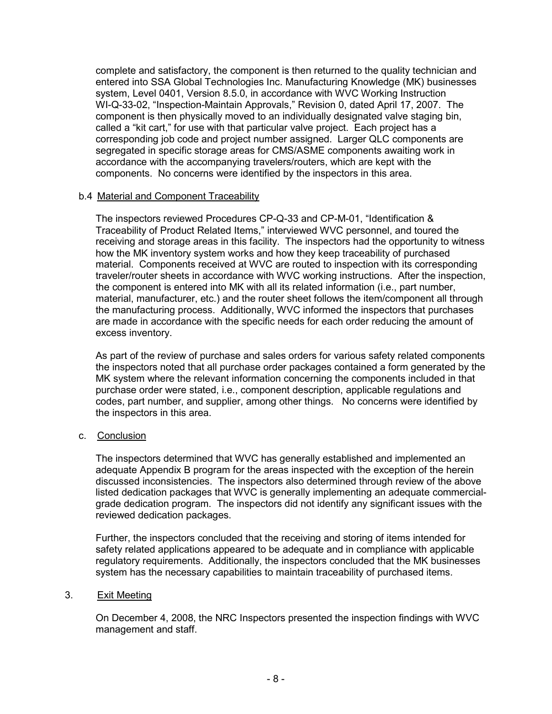complete and satisfactory, the component is then returned to the quality technician and entered into SSA Global Technologies Inc. Manufacturing Knowledge (MK) businesses system, Level 0401, Version 8.5.0, in accordance with WVC Working Instruction WI-Q-33-02, "Inspection-Maintain Approvals," Revision 0, dated April 17, 2007. The component is then physically moved to an individually designated valve staging bin, called a "kit cart," for use with that particular valve project. Each project has a corresponding job code and project number assigned. Larger QLC components are segregated in specific storage areas for CMS/ASME components awaiting work in accordance with the accompanying travelers/routers, which are kept with the components. No concerns were identified by the inspectors in this area.

## b.4 Material and Component Traceability

The inspectors reviewed Procedures CP-Q-33 and CP-M-01, "Identification & Traceability of Product Related Items," interviewed WVC personnel, and toured the receiving and storage areas in this facility. The inspectors had the opportunity to witness how the MK inventory system works and how they keep traceability of purchased material. Components received at WVC are routed to inspection with its corresponding traveler/router sheets in accordance with WVC working instructions. After the inspection, the component is entered into MK with all its related information (i.e., part number, material, manufacturer, etc.) and the router sheet follows the item/component all through the manufacturing process. Additionally, WVC informed the inspectors that purchases are made in accordance with the specific needs for each order reducing the amount of excess inventory.

As part of the review of purchase and sales orders for various safety related components the inspectors noted that all purchase order packages contained a form generated by the MK system where the relevant information concerning the components included in that purchase order were stated, i.e., component description, applicable regulations and codes, part number, and supplier, among other things. No concerns were identified by the inspectors in this area.

## c. Conclusion

The inspectors determined that WVC has generally established and implemented an adequate Appendix B program for the areas inspected with the exception of the herein discussed inconsistencies. The inspectors also determined through review of the above listed dedication packages that WVC is generally implementing an adequate commercialgrade dedication program. The inspectors did not identify any significant issues with the reviewed dedication packages.

Further, the inspectors concluded that the receiving and storing of items intended for safety related applications appeared to be adequate and in compliance with applicable regulatory requirements. Additionally, the inspectors concluded that the MK businesses system has the necessary capabilities to maintain traceability of purchased items.

# 3. Exit Meeting

On December 4, 2008, the NRC Inspectors presented the inspection findings with WVC management and staff.